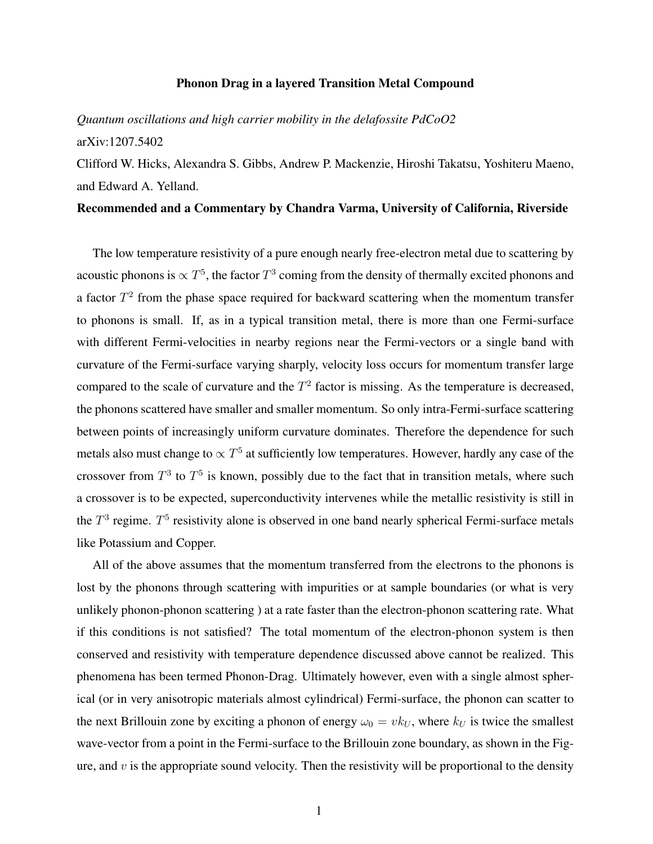## Phonon Drag in a layered Transition Metal Compound

## *Quantum oscillations and high carrier mobility in the delafossite PdCoO2* arXiv:1207.5402

Clifford W. Hicks, Alexandra S. Gibbs, Andrew P. Mackenzie, Hiroshi Takatsu, Yoshiteru Maeno, and Edward A. Yelland.

## Recommended and a Commentary by Chandra Varma, University of California, Riverside

The low temperature resistivity of a pure enough nearly free-electron metal due to scattering by acoustic phonons is  $\propto T^5$ , the factor  $T^3$  coming from the density of thermally excited phonons and a factor *T*<sup>2</sup> from the phase space required for backward scattering when the momentum transfer to phonons is small. If, as in a typical transition metal, there is more than one Fermi-surface with different Fermi-velocities in nearby regions near the Fermi-vectors or a single band with curvature of the Fermi-surface varying sharply, velocity loss occurs for momentum transfer large compared to the scale of curvature and the  $T<sup>2</sup>$  factor is missing. As the temperature is decreased, the phonons scattered have smaller and smaller momentum. So only intra-Fermi-surface scattering between points of increasingly uniform curvature dominates. Therefore the dependence for such metals also must change to  $\propto T^5$  at sufficiently low temperatures. However, hardly any case of the crossover from  $T^3$  to  $T^5$  is known, possibly due to the fact that in transition metals, where such a crossover is to be expected, superconductivity intervenes while the metallic resistivity is still in the  $T^3$  regime.  $T^5$  resistivity alone is observed in one band nearly spherical Fermi-surface metals like Potassium and Copper.

All of the above assumes that the momentum transferred from the electrons to the phonons is lost by the phonons through scattering with impurities or at sample boundaries (or what is very unlikely phonon-phonon scattering ) at a rate faster than the electron-phonon scattering rate. What if this conditions is not satisfied? The total momentum of the electron-phonon system is then conserved and resistivity with temperature dependence discussed above cannot be realized. This phenomena has been termed Phonon-Drag. Ultimately however, even with a single almost spherical (or in very anisotropic materials almost cylindrical) Fermi-surface, the phonon can scatter to the next Brillouin zone by exciting a phonon of energy  $\omega_0 = v k_U$ , where  $k_U$  is twice the smallest wave-vector from a point in the Fermi-surface to the Brillouin zone boundary, as shown in the Figure, and  $v$  is the appropriate sound velocity. Then the resistivity will be proportional to the density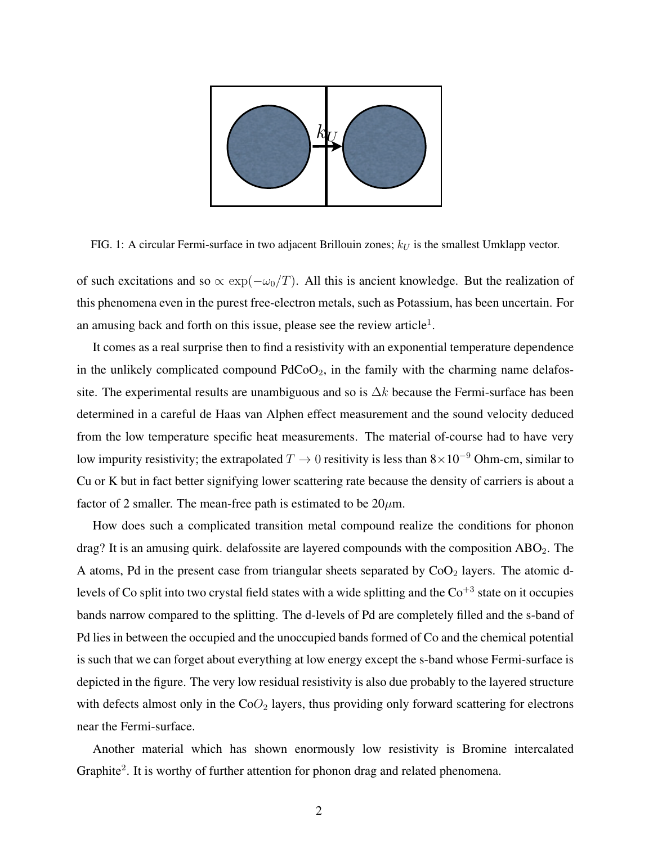

FIG. 1: A circular Fermi-surface in two adjacent Brillouin zones;  $k_U$  is the smallest Umklapp vector.

of such excitations and so  $\propto \exp(-\omega_0/T)$ . All this is ancient knowledge. But the realization of this phenomena even in the purest free-electron metals, such as Potassium, has been uncertain. For an amusing back and forth on this issue, please see the review article<sup>1</sup>.

It comes as a real surprise then to find a resistivity with an exponential temperature dependence in the unlikely complicated compound  $PdCoO<sub>2</sub>$ , in the family with the charming name delafossite. The experimental results are unambiguous and so is  $\Delta k$  because the Fermi-surface has been determined in a careful de Haas van Alphen effect measurement and the sound velocity deduced from the low temperature specific heat measurements. The material of-course had to have very low impurity resistivity; the extrapolated  $T \to 0$  resitivity is less than  $8 \times 10^{-9}$  Ohm-cm, similar to Cu or K but in fact better signifying lower scattering rate because the density of carriers is about a factor of 2 smaller. The mean-free path is estimated to be  $20\mu$ m.

How does such a complicated transition metal compound realize the conditions for phonon drag? It is an amusing quirk. delafossite are layered compounds with the composition  $ABO<sub>2</sub>$ . The A atoms, Pd in the present case from triangular sheets separated by  $CoO<sub>2</sub>$  layers. The atomic dlevels of Co split into two crystal field states with a wide splitting and the  $Co^{+3}$  state on it occupies bands narrow compared to the splitting. The d-levels of Pd are completely filled and the s-band of Pd lies in between the occupied and the unoccupied bands formed of Co and the chemical potential is such that we can forget about everything at low energy except the s-band whose Fermi-surface is depicted in the figure. The very low residual resistivity is also due probably to the layered structure with defects almost only in the CoO<sub>2</sub> layers, thus providing only forward scattering for electrons near the Fermi-surface.

Another material which has shown enormously low resistivity is Bromine intercalated Graphite<sup>2</sup>. It is worthy of further attention for phonon drag and related phenomena.